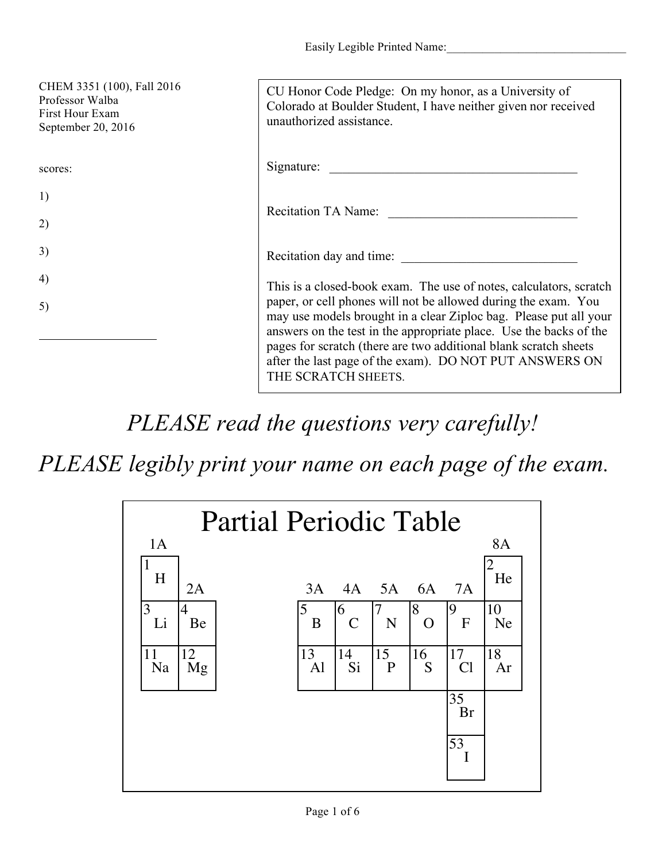| CHEM 3351 (100), Fall 2016<br>Professor Walba<br>First Hour Exam<br>September 20, 2016 | CU Honor Code Pledge: On my honor, as a University of<br>Colorado at Boulder Student, I have neither given nor received<br>unauthorized assistance.                                                                                                                                                                                                                                                                                   |
|----------------------------------------------------------------------------------------|---------------------------------------------------------------------------------------------------------------------------------------------------------------------------------------------------------------------------------------------------------------------------------------------------------------------------------------------------------------------------------------------------------------------------------------|
| scores:                                                                                | Signature:                                                                                                                                                                                                                                                                                                                                                                                                                            |
| 1)                                                                                     |                                                                                                                                                                                                                                                                                                                                                                                                                                       |
| 2)                                                                                     | Recitation TA Name:                                                                                                                                                                                                                                                                                                                                                                                                                   |
| 3)                                                                                     | Recitation day and time:                                                                                                                                                                                                                                                                                                                                                                                                              |
| 4)                                                                                     | This is a closed-book exam. The use of notes, calculators, scratch<br>paper, or cell phones will not be allowed during the exam. You<br>may use models brought in a clear Ziploc bag. Please put all your<br>answers on the test in the appropriate place. Use the backs of the<br>pages for scratch (there are two additional blank scratch sheets<br>after the last page of the exam). DO NOT PUT ANSWERS ON<br>THE SCRATCH SHEETS. |
| 5)                                                                                     |                                                                                                                                                                                                                                                                                                                                                                                                                                       |

*PLEASE read the questions very carefully!*

*PLEASE legibly print your name on each page of the exam.*

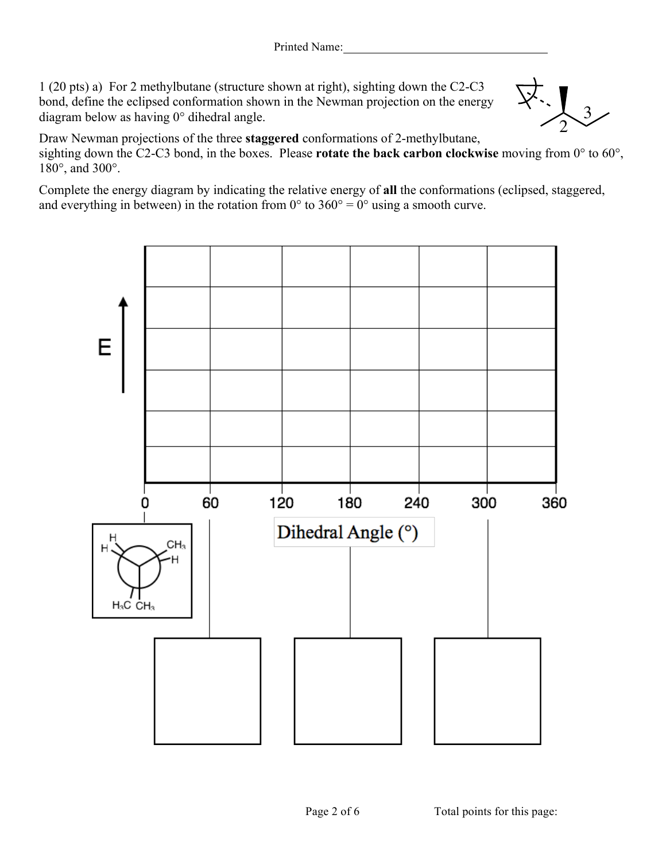1 (20 pts) a) For 2 methylbutane (structure shown at right), sighting down the C2-C3 bond, define the eclipsed conformation shown in the Newman projection on the energy diagram below as having 0° dihedral angle.



Draw Newman projections of the three **staggered** conformations of 2-methylbutane, sighting down the C2-C3 bond, in the boxes. Please **rotate the back carbon clockwise** moving from 0° to 60°, 180°, and 300°.

Complete the energy diagram by indicating the relative energy of **all** the conformations (eclipsed, staggered, and everything in between) in the rotation from  $0^{\circ}$  to  $360^{\circ} = 0^{\circ}$  using a smooth curve.



Page 2 of 6 Total points for this page: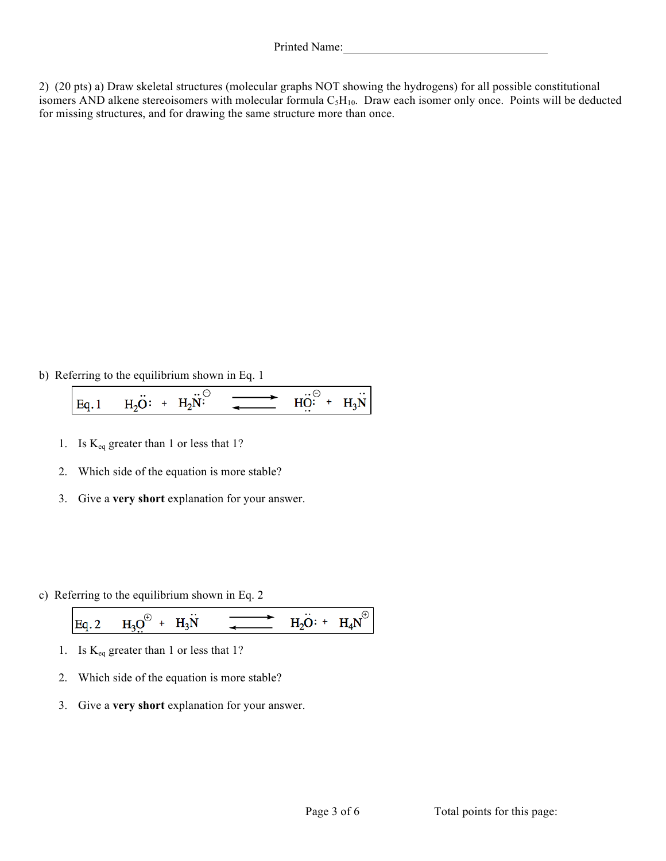2) (20 pts) a) Draw skeletal structures (molecular graphs NOT showing the hydrogens) for all possible constitutional isomers AND alkene stereoisomers with molecular formula  $C_5H_{10}$ . Draw each isomer only once. Points will be deducted for missing structures, and for drawing the same structure more than once.

b) Referring to the equilibrium shown in Eq. 1

 $\overline{HO}$ : +  $H_2\ddot{O}$ : +  $H_2\ddot{N}$ :  $Eq.1$  $H_3N$ 

- 1. Is  $K_{eq}$  greater than 1 or less that 1?
- 2. Which side of the equation is more stable?
- 3. Give a **very short** explanation for your answer.
- c) Referring to the equilibrium shown in Eq. 2

Eq. 2 
$$
H_3 Q^{\oplus} + H_3 W
$$
  $\longrightarrow$   $H_2 O: + H_4 N^{\oplus}$ 

- 1. Is Keq greater than 1 or less that 1?
- 2. Which side of the equation is more stable?
- 3. Give a **very short** explanation for your answer.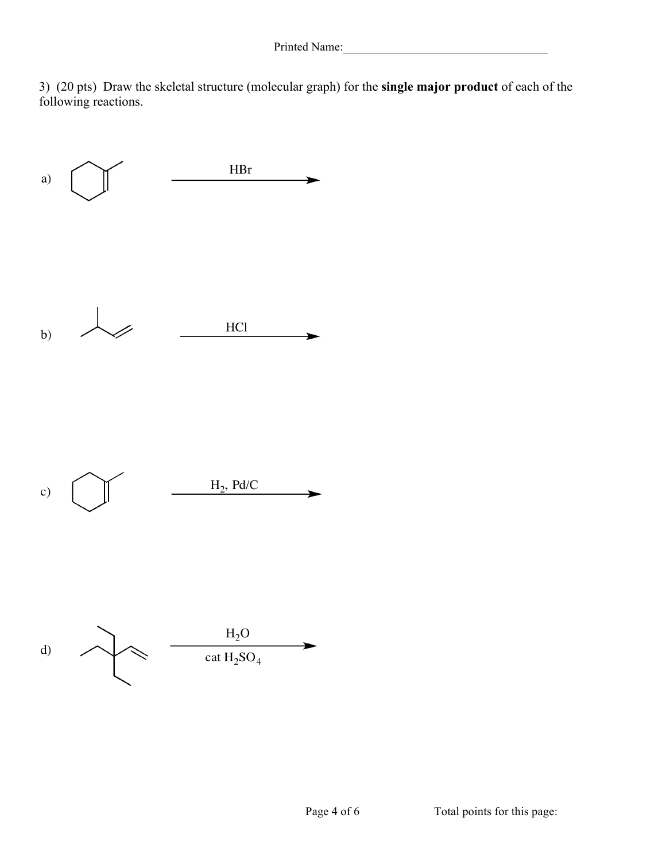3) (20 pts) Draw the skeletal structure (molecular graph) for the **single major product** of each of the following reactions.

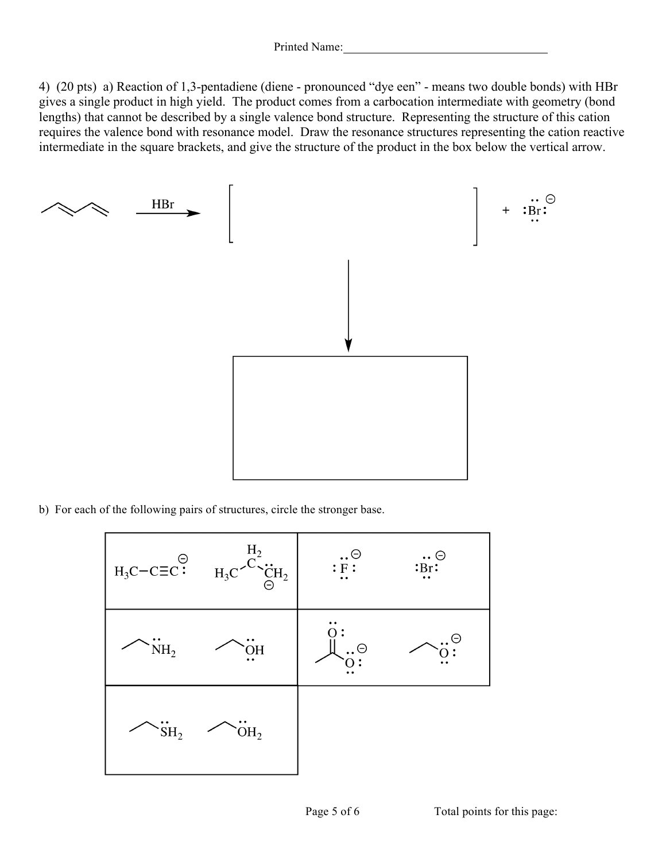4) (20 pts) a) Reaction of 1,3-pentadiene (diene - pronounced "dye een" - means two double bonds) with HBr gives a single product in high yield. The product comes from a carbocation intermediate with geometry (bond lengths) that cannot be described by a single valence bond structure. Representing the structure of this cation requires the valence bond with resonance model. Draw the resonance structures representing the cation reactive intermediate in the square brackets, and give the structure of the product in the box below the vertical arrow.



b) For each of the following pairs of structures, circle the stronger base.